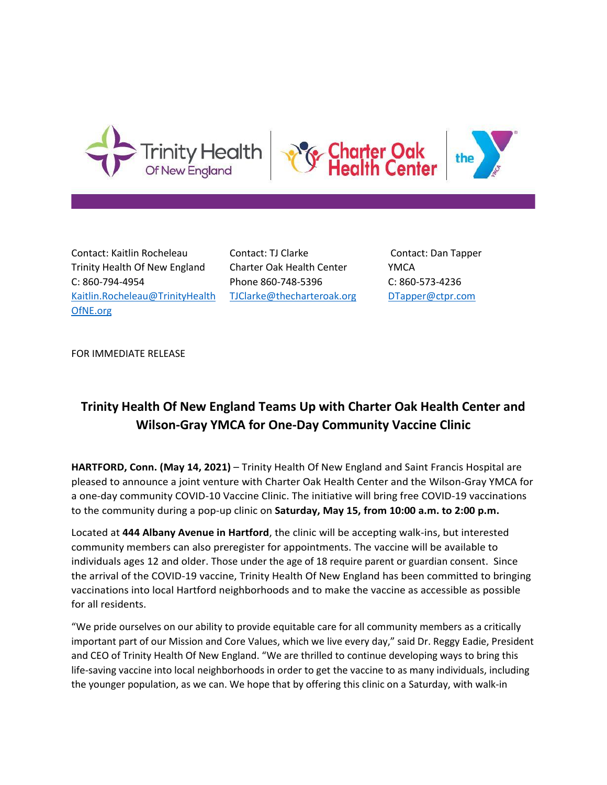





Contact: Kaitlin Rocheleau Trinity Health Of New England C: 860-794-4954 [Kaitlin.Rocheleau@TrinityHealth](mailto:Kaitlin.Rocheleau@TrinityHealth) OfNE.org

Contact: TJ Clarke Charter Oak Health Center Phone 860-748-5396 [TJClarke@thecharteroak.org](mailto:TJClarke@thecharteroak.org)

Contact: Dan Tapper YMCA C: 860-573-4236 [DTapper@ctpr.com](mailto:DTapper@ctpr.com)

FOR IMMEDIATE RELEASE

## **Trinity Health Of New England Teams Up with Charter Oak Health Center and Wilson-Gray YMCA for One-Day Community Vaccine Clinic**

**HARTFORD, Conn. (May 14, 2021)** – Trinity Health Of New England and Saint Francis Hospital are pleased to announce a joint venture with Charter Oak Health Center and the Wilson-Gray YMCA for a one-day community COVID-10 Vaccine Clinic. The initiative will bring free COVID-19 vaccinations to the community during a pop-up clinic on **Saturday, May 15, from 10:00 a.m. to 2:00 p.m.**

Located at **444 Albany Avenue in Hartford**, the clinic will be accepting walk-ins, but interested community members can also preregister for appointments. The vaccine will be available to individuals ages 12 and older. Those under the age of 18 require parent or guardian consent. Since the arrival of the COVID-19 vaccine, Trinity Health Of New England has been committed to bringing vaccinations into local Hartford neighborhoods and to make the vaccine as accessible as possible for all residents.

"We pride ourselves on our ability to provide equitable care for all community members as a critically important part of our Mission and Core Values, which we live every day," said Dr. Reggy Eadie, President and CEO of Trinity Health Of New England. "We are thrilled to continue developing ways to bring this life-saving vaccine into local neighborhoods in order to get the vaccine to as many individuals, including the younger population, as we can. We hope that by offering this clinic on a Saturday, with walk-in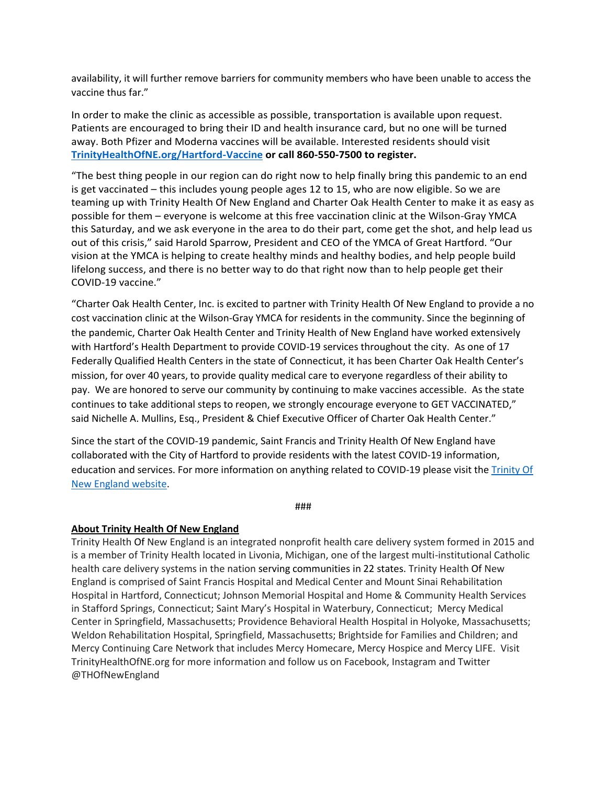availability, it will further remove barriers for community members who have been unable to access the vaccine thus far."

In order to make the clinic as accessible as possible, transportation is available upon request. Patients are encouraged to bring their ID and health insurance card, but no one will be turned away. Both Pfizer and Moderna vaccines will be available. Interested residents should visit **[TrinityHealthOfNE.org/Hartford-Vaccine](https://www.trinityhealthofne.org/find-a-service-or-specialty/covid-19/hartford-vaccine-registration) or call 860-550-7500 to register.**

"The best thing people in our region can do right now to help finally bring this pandemic to an end is get vaccinated – this includes young people ages 12 to 15, who are now eligible. So we are teaming up with Trinity Health Of New England and Charter Oak Health Center to make it as easy as possible for them – everyone is welcome at this free vaccination clinic at the Wilson-Gray YMCA this Saturday, and we ask everyone in the area to do their part, come get the shot, and help lead us out of this crisis," said Harold Sparrow, President and CEO of the YMCA of Great Hartford. "Our vision at the YMCA is helping to create healthy minds and healthy bodies, and help people build lifelong success, and there is no better way to do that right now than to help people get their COVID-19 vaccine."

"Charter Oak Health Center, Inc. is excited to partner with Trinity Health Of New England to provide a no cost vaccination clinic at the Wilson-Gray YMCA for residents in the community. Since the beginning of the pandemic, Charter Oak Health Center and Trinity Health of New England have worked extensively with Hartford's Health Department to provide COVID-19 services throughout the city. As one of 17 Federally Qualified Health Centers in the state of Connecticut, it has been Charter Oak Health Center's mission, for over 40 years, to provide quality medical care to everyone regardless of their ability to pay. We are honored to serve our community by continuing to make vaccines accessible. As the state continues to take additional steps to reopen, we strongly encourage everyone to GET VACCINATED," said Nichelle A. Mullins, Esq., President & Chief Executive Officer of Charter Oak Health Center."

Since the start of the COVID-19 pandemic, Saint Francis and Trinity Health Of New England have collaborated with the City of Hartford to provide residents with the latest COVID-19 information, education and services. For more information on anything related to COVID-19 please visit th[e Trinity Of](https://www.trinityhealthofne.org/find-a-service-or-specialty/covid-19/)  [New England website.](https://www.trinityhealthofne.org/find-a-service-or-specialty/covid-19/)

###

## **About Trinity Health Of New England**

Trinity Health Of New England is an integrated nonprofit health care delivery system formed in 2015 and is a member of Trinity Health located in Livonia, Michigan, one of the largest multi-institutional Catholic health care delivery systems in the nation serving communities in 22 states. Trinity Health Of New England is comprised of Saint Francis Hospital and Medical Center and Mount Sinai Rehabilitation Hospital in Hartford, Connecticut; Johnson Memorial Hospital and Home & Community Health Services in Stafford Springs, Connecticut; Saint Mary's Hospital in Waterbury, Connecticut; Mercy Medical Center in Springfield, Massachusetts; Providence Behavioral Health Hospital in Holyoke, Massachusetts; Weldon Rehabilitation Hospital, Springfield, Massachusetts; Brightside for Families and Children; and Mercy Continuing Care Network that includes Mercy Homecare, Mercy Hospice and Mercy LIFE. Visit TrinityHealthOfNE.org for more information and follow us on Facebook, Instagram and Twitter @THOfNewEngland